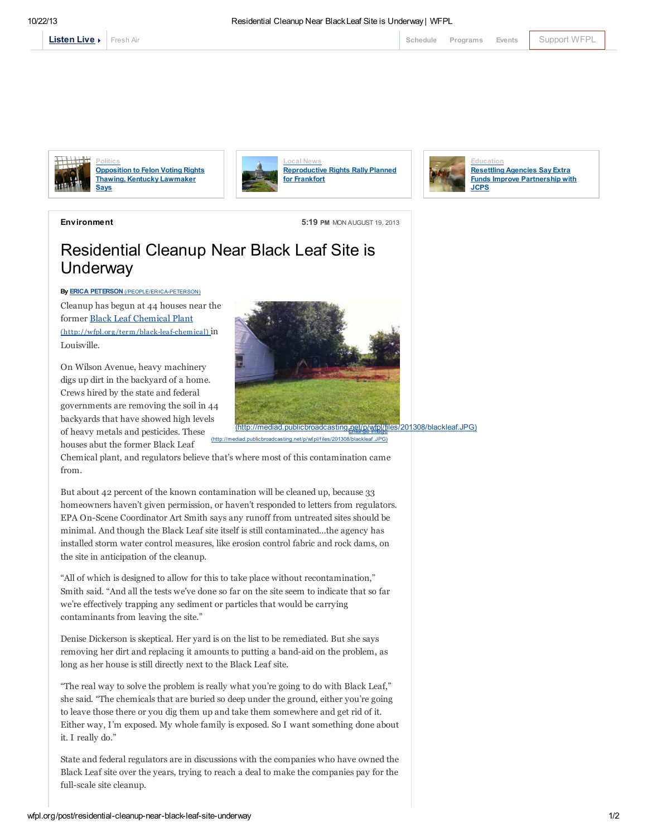

[Fresh](http://local.wfpl.org/stream.html) Air [Schedule](http://www.publicbroadcasting.net/wfpl/guide.guidemain) [Programs](http://wfpl.org/programs) [Events](http://www.publicbroadcasting.net/wfpl/events.eventsmain) [Support](https://louisvillepublicmedia.webconnex.com/contribute) WFPL



**Politics** [Opposition](http://wfpl.org/post/opposition-felon-voting-rights-thawing-kentucky-lawmaker-says) to Felon Voting Rights Thawing, Kentucky Lawmaker Says







Environment 5:19 PM MON AUGUST 19, 2013

## Residential Cleanup Near Black Leaf Site is **Underway**

By **ERICA PETERSON** [\(/PEOPLE/ERICA-PETERSON\)](http://wfpl.org/people/erica-peterson) Cleanup has begun at 44 houses near the former Black Leaf Chemical Plant [\(http://wfpl.org/term/black-leaf-chemical\)](http://wfpl.org/term/black-leaf-chemical) in Louisville.

On Wilson Avenue, heavy machinery digs up dirt in the backyard of a home. Crews hired by the state and federal governments are removing the soil in 44 backyards that have showed high levels of heavy metals and pesticides. These houses abut the former Black Leaf



ediad.publicbroadcasting.net/p/wf pl/files/201308/blackleaf.JPG)

Chemical plant, and regulators believe that's where most of this contamination came from.

But about 42 percent of the known contamination will be cleaned up, because 33 homeowners haven't given permission, or haven't responded to letters from regulators. EPA On-Scene Coordinator Art Smith says any runoff from untreated sites should be minimal. And though the Black Leaf site itself is still contaminated…the agency has installed storm water control measures, like erosion control fabric and rock dams, on the site in anticipation of the cleanup.

"All of which is designed to allow for this to take place without recontamination," Smith said. "And all the tests we've done so far on the site seem to indicate that so far we're effectively trapping any sediment or particles that would be carrying contaminants from leaving the site."

Denise Dickerson is skeptical. Her yard is on the list to be remediated. But she says removing her dirt and replacing it amounts to putting a band-aid on the problem, as long as her house is still directly next to the Black Leaf site.

"The real way to solve the problem is really what you're going to do with Black Leaf," she said. "The chemicals that are buried so deep under the ground, either you're going to leave those there or you dig them up and take them somewhere and get rid of it. Either way, I'm exposed. My whole family is exposed. So I want something done about it. I really do."

State and federal regulators are in discussions with the companies who have owned the Black Leaf site over the years, trying to reach a deal to make the companies pay for the full-scale site cleanup.